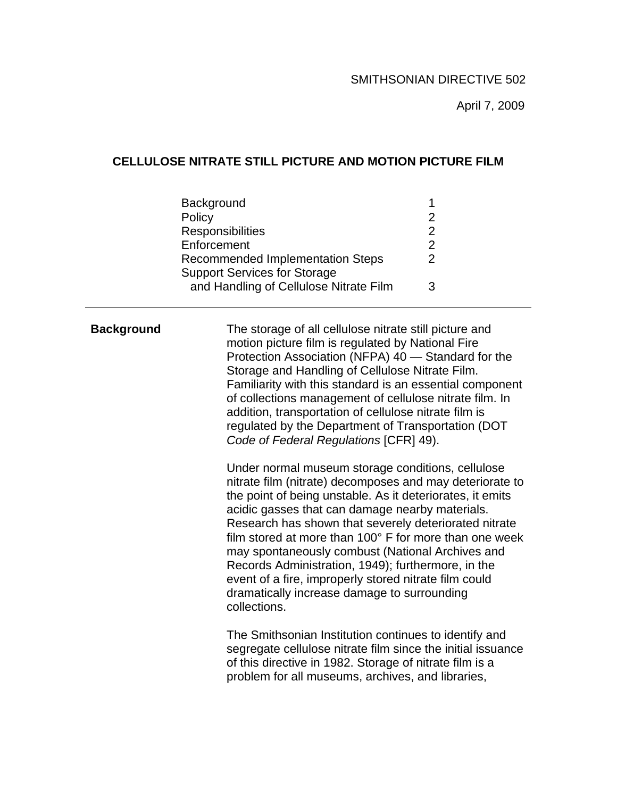April 7, 2009

## **CELLULOSE NITRATE STILL PICTURE AND MOTION PICTURE FILM**

| Background                              |   |
|-----------------------------------------|---|
| Policy                                  | 2 |
| <b>Responsibilities</b>                 | 2 |
| Enforcement                             | 2 |
| <b>Recommended Implementation Steps</b> | 2 |
| <b>Support Services for Storage</b>     |   |
| and Handling of Cellulose Nitrate Film  | વ |

**Background** The storage of all cellulose nitrate still picture and motion picture film is regulated by National Fire Protection Association (NFPA) 40 — Standard for the Storage and Handling of Cellulose Nitrate Film. Familiarity with this standard is an essential component of collections management of cellulose nitrate film. In addition, transportation of cellulose nitrate film is regulated by the Department of Transportation (DOT *Code of Federal Regulations* [CFR] 49).

> Under normal museum storage conditions, cellulose nitrate film (nitrate) decomposes and may deteriorate to the point of being unstable. As it deteriorates, it emits acidic gasses that can damage nearby materials. Research has shown that severely deteriorated nitrate film stored at more than 100° F for more than one week may spontaneously combust (National Archives and Records Administration, 1949); furthermore, in the event of a fire, improperly stored nitrate film could dramatically increase damage to surrounding collections.

> The Smithsonian Institution continues to identify and segregate cellulose nitrate film since the initial issuance of this directive in 1982. Storage of nitrate film is a problem for all museums, archives, and libraries,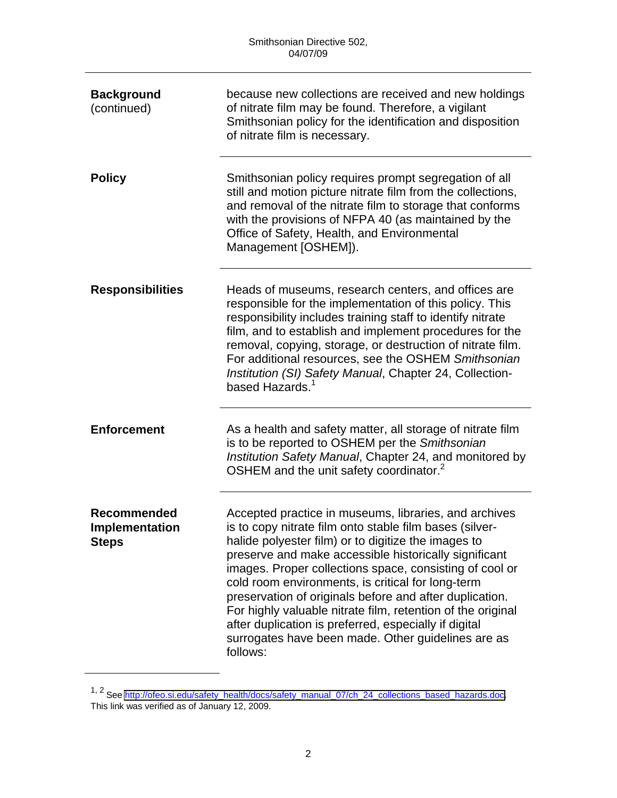| <b>Background</b><br>(continued)              | because new collections are received and new holdings<br>of nitrate film may be found. Therefore, a vigilant<br>Smithsonian policy for the identification and disposition<br>of nitrate film is necessary.                                                                                                                                                                                                                                                                                                                                                                                            |
|-----------------------------------------------|-------------------------------------------------------------------------------------------------------------------------------------------------------------------------------------------------------------------------------------------------------------------------------------------------------------------------------------------------------------------------------------------------------------------------------------------------------------------------------------------------------------------------------------------------------------------------------------------------------|
| <b>Policy</b>                                 | Smithsonian policy requires prompt segregation of all<br>still and motion picture nitrate film from the collections,<br>and removal of the nitrate film to storage that conforms<br>with the provisions of NFPA 40 (as maintained by the<br>Office of Safety, Health, and Environmental<br>Management [OSHEM]).                                                                                                                                                                                                                                                                                       |
| <b>Responsibilities</b>                       | Heads of museums, research centers, and offices are<br>responsible for the implementation of this policy. This<br>responsibility includes training staff to identify nitrate<br>film, and to establish and implement procedures for the<br>removal, copying, storage, or destruction of nitrate film.<br>For additional resources, see the OSHEM Smithsonian<br>Institution (SI) Safety Manual, Chapter 24, Collection-<br>based Hazards. <sup>1</sup>                                                                                                                                                |
| <b>Enforcement</b>                            | As a health and safety matter, all storage of nitrate film<br>is to be reported to OSHEM per the Smithsonian<br>Institution Safety Manual, Chapter 24, and monitored by<br>OSHEM and the unit safety coordinator. <sup>2</sup>                                                                                                                                                                                                                                                                                                                                                                        |
| Recommended<br>Implementation<br><b>Steps</b> | Accepted practice in museums, libraries, and archives<br>is to copy nitrate film onto stable film bases (silver-<br>halide polyester film) or to digitize the images to<br>preserve and make accessible historically significant<br>images. Proper collections space, consisting of cool or<br>cold room environments, is critical for long-term<br>preservation of originals before and after duplication.<br>For highly valuable nitrate film, retention of the original<br>after duplication is preferred, especially if digital<br>surrogates have been made. Other guidelines are as<br>follows: |

<sup>1, 2</sup> See [http://ofeo.si.edu/safety\\_health/docs/safety\\_manual\\_07/ch\\_24\\_collections\\_based\\_hazards.doc.](http://ofeo.si.edu/safety_health/docs/safety_manual_07/ch_24_collections_based_hazards.doc) This link was verified as of January 12, 2009.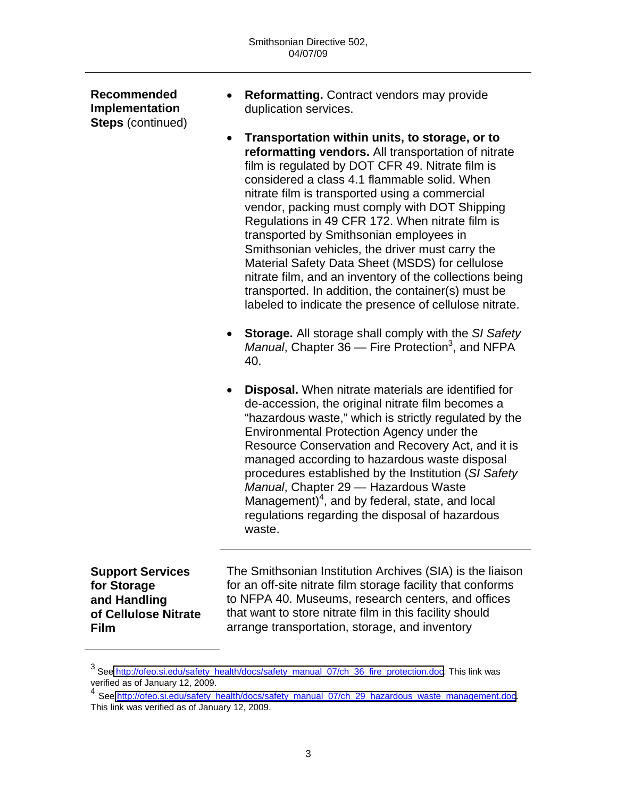**Recommended Implementation Steps** (continued) • **Reformatting.** Contract vendors may provide duplication services. • **Transportation within units, to storage, or to reformatting vendors.** All transportation of nitrate film is regulated by DOT CFR 49. Nitrate film is considered a class 4.1 flammable solid. When nitrate film is transported using a commercial vendor, packing must comply with DOT Shipping Regulations in 49 CFR 172. When nitrate film is transported by Smithsonian employees in Smithsonian vehicles, the driver must carry the Material Safety Data Sheet (MSDS) for cellulose nitrate film, and an inventory of the collections being transported. In addition, the container(s) must be labeled to indicate the presence of cellulose nitrate. • **Storage.** All storage shall comply with the *SI Safety*  Manual, Chapter 36 – Fire Protection<sup>3</sup>, and NFPA 40. • **Disposal.** When nitrate materials are identified for de-accession, the original nitrate film becomes a "hazardous waste," which is strictly regulated by the Environmental Protection Agency under the Resource Conservation and Recovery Act, and it is managed according to hazardous waste disposal procedures established by the Institution (*SI Safety Manual*, Chapter 29 — Hazardous Waste Management) $4$ , and by federal, state, and local regulations regarding the disposal of hazardous waste. **Support Services for Storage** 

**and Handling of Cellulose Nitrate Film** 

The Smithsonian Institution Archives (SIA) is the liaison for an off-site nitrate film storage facility that conforms to NFPA 40. Museums, research centers, and offices that want to store nitrate film in this facility should arrange transportation, storage, and inventory

<sup>&</sup>lt;sup>3</sup> See [http://ofeo.si.edu/safety\\_health/docs/safety\\_manual\\_07/ch\\_36\\_fire\\_protection.doc](http://ofeo.si.edu/safety_health/docs/safety_manual_07/ch_36_fire_protection.doc). This link was verified as of January 12, 2009.

<sup>&</sup>lt;sup>4</sup> See [http://ofeo.si.edu/safety\\_health/docs/safety\\_manual\\_07/ch\\_29\\_hazardous\\_waste\\_management.doc](http://ofeo.si.edu/safety_health/docs/safety_manual_07/ch_29_hazardous_waste_management.doc). This link was verified as of January 12, 2009.